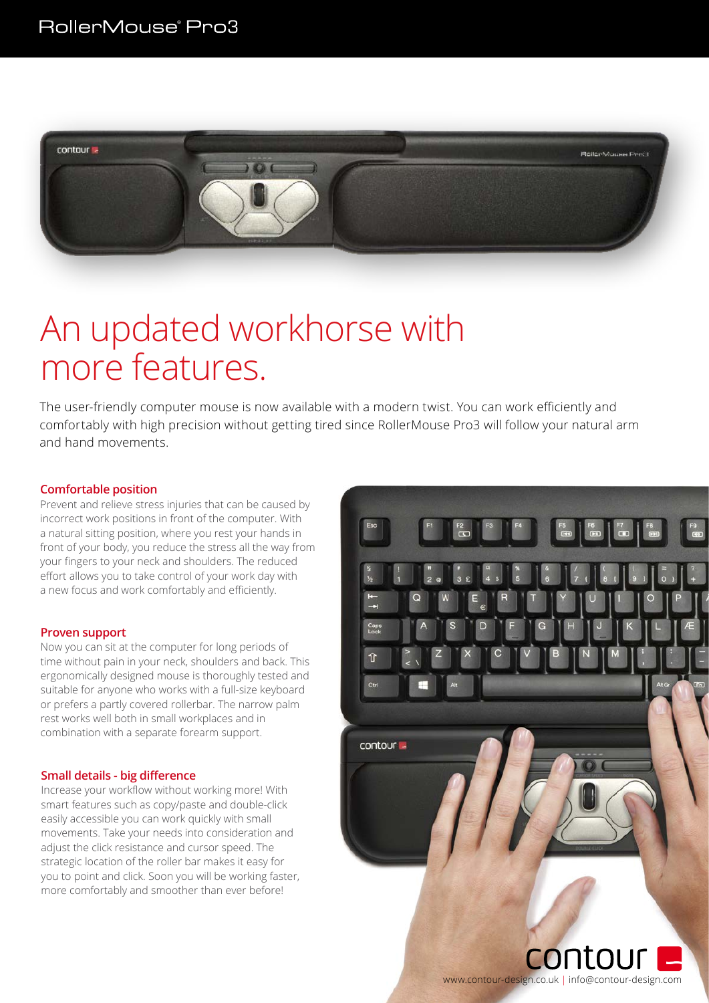

# An updated workhorse with more features.

The user-friendly computer mouse is now available with a modern twist. You can work efficiently and comfortably with high precision without getting tired since RollerMouse Pro3 will follow your natural arm and hand movements.

### **Comfortable position**

Prevent and relieve stress injuries that can be caused by incorrect work positions in front of the computer. With a natural sitting position, where you rest your hands in front of your body, you reduce the stress all the way from your fingers to your neck and shoulders. The reduced effort allows you to take control of your work day with a new focus and work comfortably and efficiently.

#### **Proven support**

Now you can sit at the computer for long periods of time without pain in your neck, shoulders and back. This ergonomically designed mouse is thoroughly tested and suitable for anyone who works with a full-size keyboard or prefers a partly covered rollerbar. The narrow palm rest works well both in small workplaces and in combination with a separate forearm support.

#### **Small details - big difference**

Increase your workflow without working more! With smart features such as copy/paste and double-click easily accessible you can work quickly with small movements. Take your needs into consideration and adjust the click resistance and cursor speed. The strategic location of the roller bar makes it easy for you to point and click. Soon you will be working faster, more comfortably and smoother than ever before!



www.contour-design.co.uk | info@contour-design.com